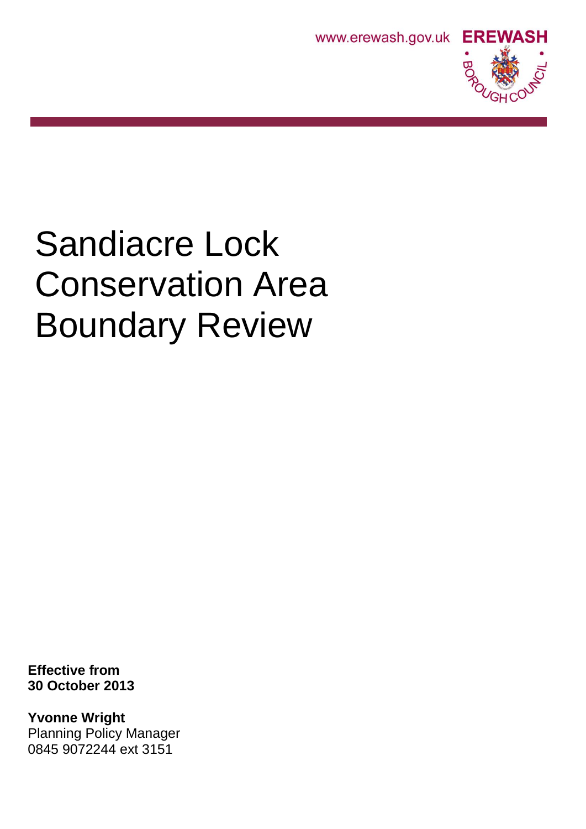



# Sandiacre Lock Conservation Area Boundary Review

**Effective from 30 October 2013**

**Yvonne Wright** Planning Policy Manager 0845 9072244 ext 3151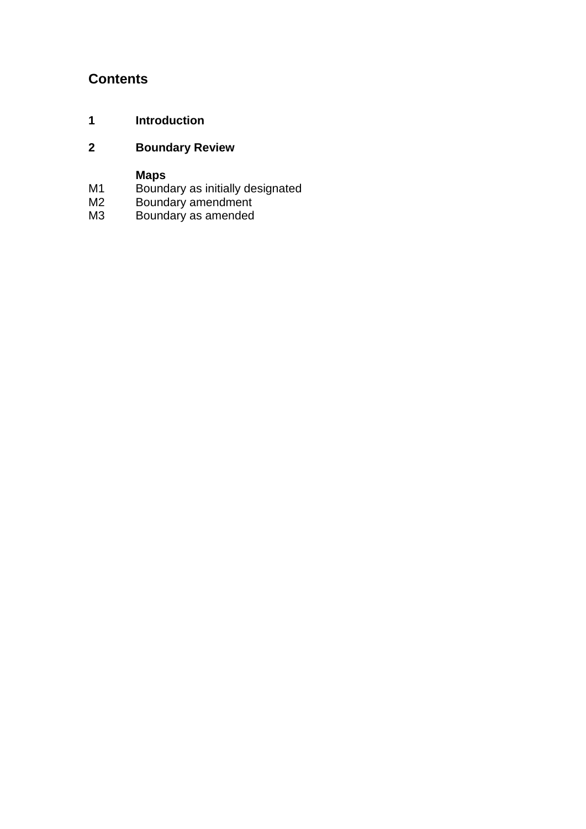## **Contents**

**1 Introduction**

## **2 Boundary Review**

### **Maps**

- M1 Boundary as initially designated
- M2 Boundary amendment
- M3 Boundary as amended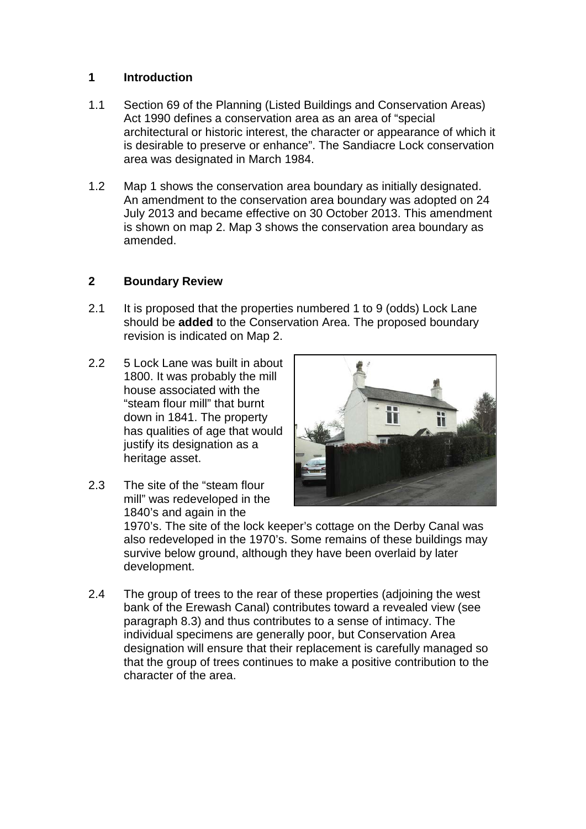#### **1 Introduction**

- 1.1 Section 69 of the Planning (Listed Buildings and Conservation Areas) Act 1990 defines a conservation area as an area of "special architectural or historic interest, the character or appearance of which it is desirable to preserve or enhance". The Sandiacre Lock conservation area was designated in March 1984.
- 1.2 Map 1 shows the conservation area boundary as initially designated. An amendment to the conservation area boundary was adopted on 24 July 2013 and became effective on 30 October 2013. This amendment is shown on map 2. Map 3 shows the conservation area boundary as amended.

#### **2 Boundary Review**

- 2.1 It is proposed that the properties numbered 1 to 9 (odds) Lock Lane should be **added** to the Conservation Area. The proposed boundary revision is indicated on Map 2.
- 2.2 5 Lock Lane was built in about 1800. It was probably the mill house associated with the "steam flour mill" that burnt down in 1841. The property has qualities of age that would justify its designation as a heritage asset.
- 2.3 The site of the "steam flour mill" was redeveloped in the 1840's and again in the



1970's. The site of the lock keeper's cottage on the Derby Canal was also redeveloped in the 1970's. Some remains of these buildings may survive below ground, although they have been overlaid by later development.

2.4 The group of trees to the rear of these properties (adjoining the west bank of the Erewash Canal) contributes toward a revealed view (see paragraph 8.3) and thus contributes to a sense of intimacy. The individual specimens are generally poor, but Conservation Area designation will ensure that their replacement is carefully managed so that the group of trees continues to make a positive contribution to the character of the area.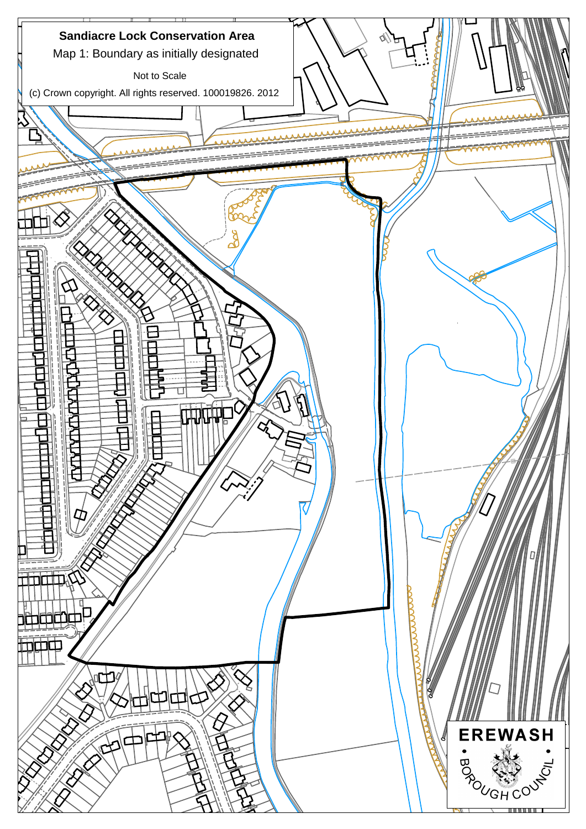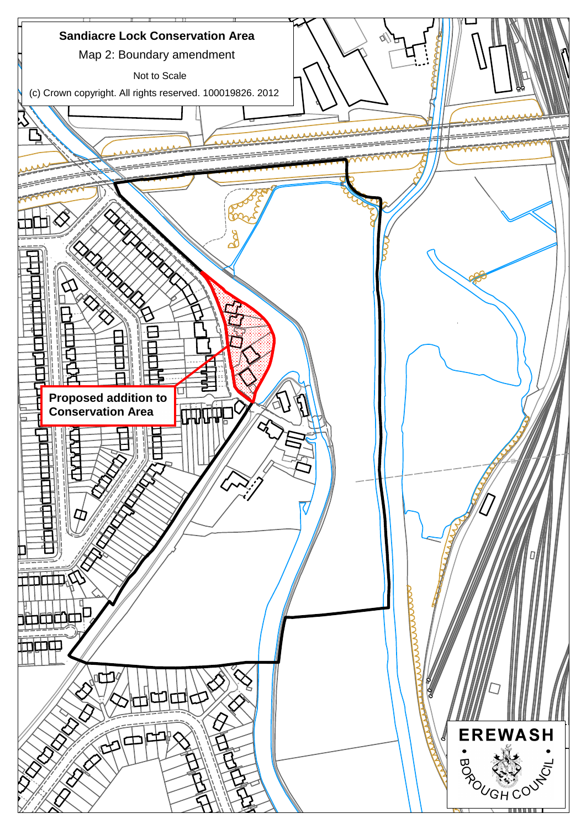